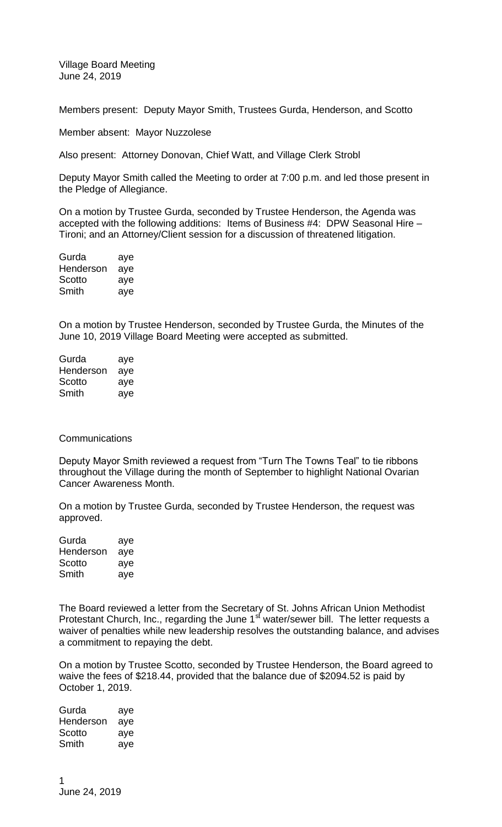Village Board Meeting June 24, 2019

Members present: Deputy Mayor Smith, Trustees Gurda, Henderson, and Scotto

Member absent: Mayor Nuzzolese

Also present: Attorney Donovan, Chief Watt, and Village Clerk Strobl

Deputy Mayor Smith called the Meeting to order at 7:00 p.m. and led those present in the Pledge of Allegiance.

On a motion by Trustee Gurda, seconded by Trustee Henderson, the Agenda was accepted with the following additions: Items of Business #4: DPW Seasonal Hire – Tironi; and an Attorney/Client session for a discussion of threatened litigation.

| Gurda     | aye |
|-----------|-----|
| Henderson | aye |
| Scotto    | aye |
| Smith     | aye |

On a motion by Trustee Henderson, seconded by Trustee Gurda, the Minutes of the June 10, 2019 Village Board Meeting were accepted as submitted.

| Gurda     | aye |
|-----------|-----|
| Henderson | aye |
| Scotto    | aye |
| Smith     | aye |

## **Communications**

Deputy Mayor Smith reviewed a request from "Turn The Towns Teal" to tie ribbons throughout the Village during the month of September to highlight National Ovarian Cancer Awareness Month.

On a motion by Trustee Gurda, seconded by Trustee Henderson, the request was approved.

| Gurda     | aye |
|-----------|-----|
| Henderson | aye |
| Scotto    | aye |
| Smith     | aye |

The Board reviewed a letter from the Secretary of St. Johns African Union Methodist Protestant Church, Inc., regarding the June 1<sup>st</sup> water/sewer bill. The letter requests a waiver of penalties while new leadership resolves the outstanding balance, and advises a commitment to repaying the debt.

On a motion by Trustee Scotto, seconded by Trustee Henderson, the Board agreed to waive the fees of \$218.44, provided that the balance due of \$2094.52 is paid by October 1, 2019.

Gurda aye Henderson aye Scotto aye Smith aye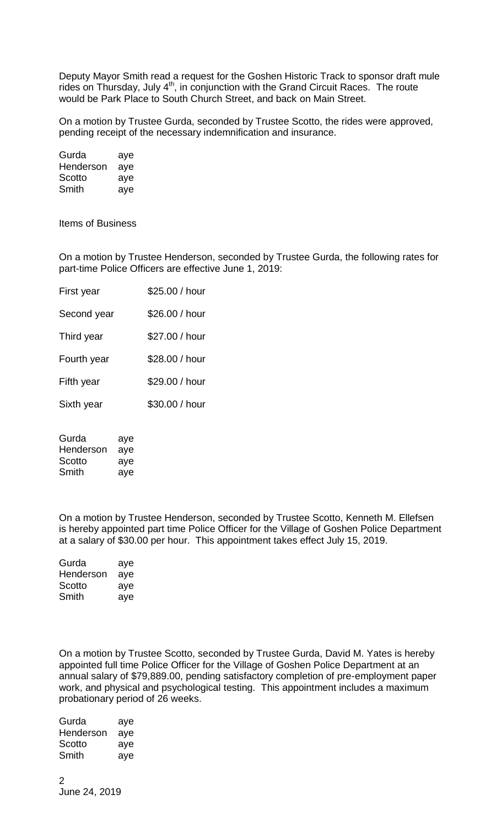Deputy Mayor Smith read a request for the Goshen Historic Track to sponsor draft mule rides on Thursday, July 4<sup>th</sup>, in conjunction with the Grand Circuit Races. The route would be Park Place to South Church Street, and back on Main Street.

On a motion by Trustee Gurda, seconded by Trustee Scotto, the rides were approved, pending receipt of the necessary indemnification and insurance.

| Gurda     | aye |
|-----------|-----|
| Henderson | aye |
| Scotto    | aye |
| Smith     | aye |

Items of Business

On a motion by Trustee Henderson, seconded by Trustee Gurda, the following rates for part-time Police Officers are effective June 1, 2019:

| First year  | \$25.00 / hour |
|-------------|----------------|
| Second year | \$26.00 / hour |
| Third year  | \$27.00 / hour |
| Fourth year | \$28.00 / hour |
| Fifth year  | \$29.00 / hour |
| Sixth year  | \$30.00 / hour |
|             |                |

| Gurda     | aye |
|-----------|-----|
| Henderson | aye |
| Scotto    | aye |
| Smith     | aye |

On a motion by Trustee Henderson, seconded by Trustee Scotto, Kenneth M. Ellefsen is hereby appointed part time Police Officer for the Village of Goshen Police Department at a salary of \$30.00 per hour. This appointment takes effect July 15, 2019.

| Gurda     | aye |
|-----------|-----|
| Henderson | aye |
| Scotto    | aye |
| Smith     | aye |

On a motion by Trustee Scotto, seconded by Trustee Gurda, David M. Yates is hereby appointed full time Police Officer for the Village of Goshen Police Department at an annual salary of \$79,889.00, pending satisfactory completion of pre-employment paper work, and physical and psychological testing. This appointment includes a maximum probationary period of 26 weeks.

| Gurda     | aye |
|-----------|-----|
| Henderson | aye |
| Scotto    | aye |
| Smith     | aye |